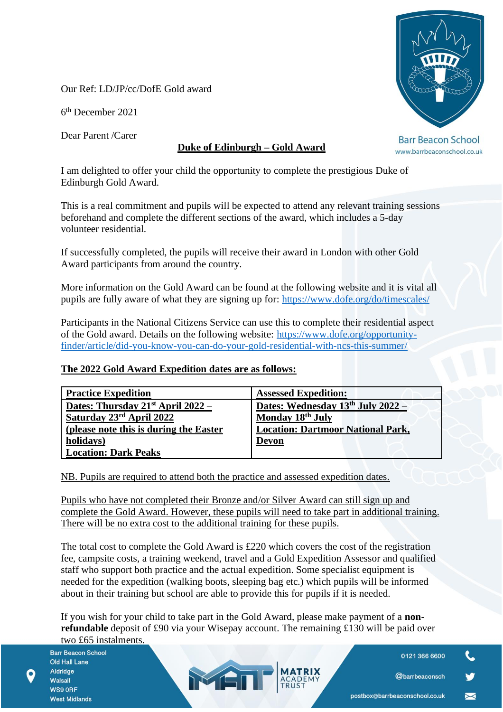Our Ref: LD/JP/cc/DofE Gold award

6 th December 2021

Dear Parent /Carer

## **Duke of Edinburgh – Gold Award**

I am delighted to offer your child the opportunity to complete the prestigious Duke of Edinburgh Gold Award.

This is a real commitment and pupils will be expected to attend any relevant training sessions beforehand and complete the different sections of the award, which includes a 5-day volunteer residential.

If successfully completed, the pupils will receive their award in London with other Gold Award participants from around the country.

More information on the Gold Award can be found at the following website and it is vital all pupils are fully aware of what they are signing up for:<https://www.dofe.org/do/timescales/>

Participants in the National Citizens Service can use this to complete their residential aspect of the Gold award. Details on the following website: [https://www.dofe.org/opportunity](https://www.dofe.org/opportunity-finder/article/did-you-know-you-can-do-your-gold-residential-with-ncs-this-summer/)[finder/article/did-you-know-you-can-do-your-gold-residential-with-ncs-this-summer/](https://www.dofe.org/opportunity-finder/article/did-you-know-you-can-do-your-gold-residential-with-ncs-this-summer/)

## **The 2022 Gold Award Expedition dates are as follows:**

| <b>Practice Expedition</b>             | <b>Assessed Expedition:</b>              |
|----------------------------------------|------------------------------------------|
| Dates: Thursday $21st$ April 2022 –    | Dates: Wednesday $13th$ July 2022 –      |
| Saturday 23rd April 2022               | Monday 18th July                         |
| (please note this is during the Easter | <b>Location: Dartmoor National Park,</b> |
| holidays)                              | <b>Devon</b>                             |
| <b>Location: Dark Peaks</b>            |                                          |

NB. Pupils are required to attend both the practice and assessed expedition dates.

Pupils who have not completed their Bronze and/or Silver Award can still sign up and complete the Gold Award. However, these pupils will need to take part in additional training. There will be no extra cost to the additional training for these pupils.

The total cost to complete the Gold Award is £220 which covers the cost of the registration fee, campsite costs, a training weekend, travel and a Gold Expedition Assessor and qualified staff who support both practice and the actual expedition. Some specialist equipment is needed for the expedition (walking boots, sleeping bag etc.) which pupils will be informed about in their training but school are able to provide this for pupils if it is needed.

If you wish for your child to take part in the Gold Award, please make payment of a **nonrefundable** deposit of £90 via your Wisepay account. The remaining £130 will be paid over two £65 instalments.

MEN

**Barr Beacon School** Old Hall Lane Aldridge Walsall WS9 ORF **West Midlands** 



**Barr Beacon School** www.barrbeaconschool.co.uk

@barrbeaconsch

 $\blacksquare$ 

0121 366 6600